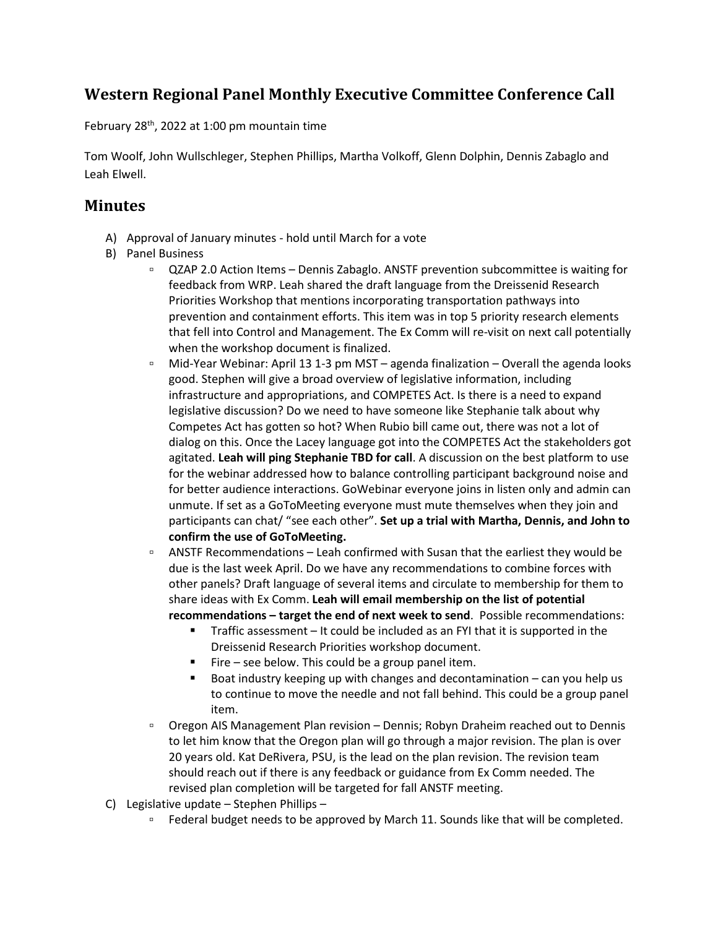## **Western Regional Panel Monthly Executive Committee Conference Call**

February  $28<sup>th</sup>$ , 2022 at 1:00 pm mountain time

Tom Woolf, John Wullschleger, Stephen Phillips, Martha Volkoff, Glenn Dolphin, Dennis Zabaglo and Leah Elwell.

## **Minutes**

- A) Approval of January minutes hold until March for a vote
- B) Panel Business
	- QZAP 2.0 Action Items Dennis Zabaglo. ANSTF prevention subcommittee is waiting for feedback from WRP. Leah shared the draft language from the Dreissenid Research Priorities Workshop that mentions incorporating transportation pathways into prevention and containment efforts. This item was in top 5 priority research elements that fell into Control and Management. The Ex Comm will re-visit on next call potentially when the workshop document is finalized.
	- Mid-Year Webinar: April 13 1-3 pm MST agenda finalization Overall the agenda looks good. Stephen will give a broad overview of legislative information, including infrastructure and appropriations, and COMPETES Act. Is there is a need to expand legislative discussion? Do we need to have someone like Stephanie talk about why Competes Act has gotten so hot? When Rubio bill came out, there was not a lot of dialog on this. Once the Lacey language got into the COMPETES Act the stakeholders got agitated. **Leah will ping Stephanie TBD for call**. A discussion on the best platform to use for the webinar addressed how to balance controlling participant background noise and for better audience interactions. GoWebinar everyone joins in listen only and admin can unmute. If set as a GoToMeeting everyone must mute themselves when they join and participants can chat/ "see each other". **Set up a trial with Martha, Dennis, and John to confirm the use of GoToMeeting.**
	- ANSTF Recommendations Leah confirmed with Susan that the earliest they would be due is the last week April. Do we have any recommendations to combine forces with other panels? Draft language of several items and circulate to membership for them to share ideas with Ex Comm. **Leah will email membership on the list of potential recommendations – target the end of next week to send**. Possible recommendations:
		- Traffic assessment It could be included as an FYI that it is supported in the Dreissenid Research Priorities workshop document.
		- Fire see below. This could be a group panel item.
		- Boat industry keeping up with changes and decontamination can you help us to continue to move the needle and not fall behind. This could be a group panel item.
	- Oregon AIS Management Plan revision Dennis; Robyn Draheim reached out to Dennis to let him know that the Oregon plan will go through a major revision. The plan is over 20 years old. Kat DeRivera, PSU, is the lead on the plan revision. The revision team should reach out if there is any feedback or guidance from Ex Comm needed. The revised plan completion will be targeted for fall ANSTF meeting.
- C) Legislative update Stephen Phillips
	- □ Federal budget needs to be approved by March 11. Sounds like that will be completed.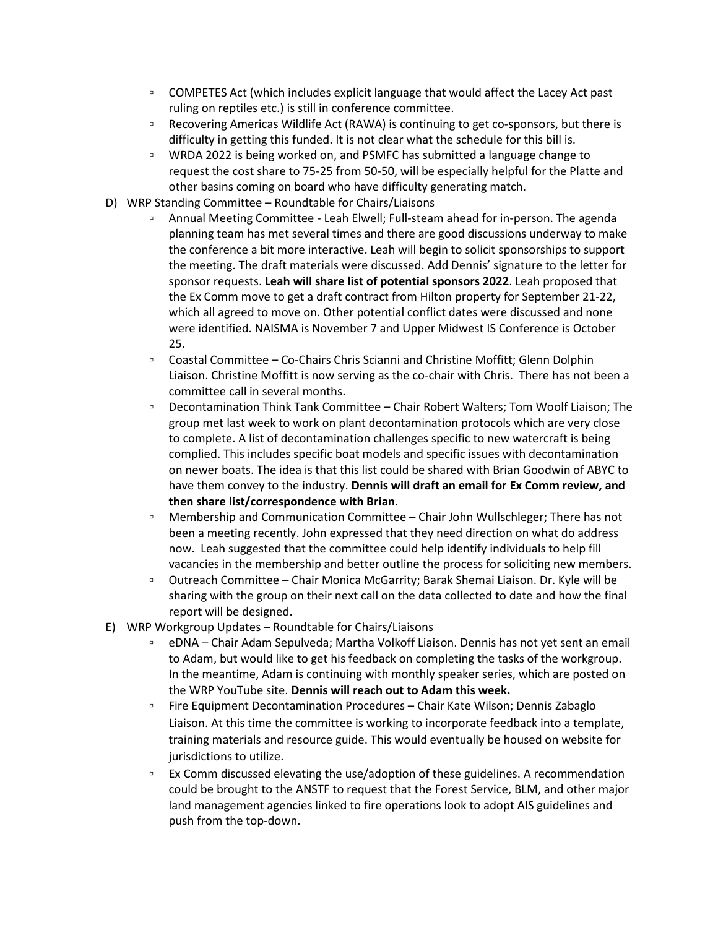- □ COMPETES Act (which includes explicit language that would affect the Lacey Act past ruling on reptiles etc.) is still in conference committee.
- □ Recovering Americas Wildlife Act (RAWA) is continuing to get co-sponsors, but there is difficulty in getting this funded. It is not clear what the schedule for this bill is.
- WRDA 2022 is being worked on, and PSMFC has submitted a language change to request the cost share to 75-25 from 50-50, will be especially helpful for the Platte and other basins coming on board who have difficulty generating match.
- D) WRP Standing Committee Roundtable for Chairs/Liaisons
	- Annual Meeting Committee Leah Elwell; Full-steam ahead for in-person. The agenda planning team has met several times and there are good discussions underway to make the conference a bit more interactive. Leah will begin to solicit sponsorships to support the meeting. The draft materials were discussed. Add Dennis' signature to the letter for sponsor requests. **Leah will share list of potential sponsors 2022**. Leah proposed that the Ex Comm move to get a draft contract from Hilton property for September 21-22, which all agreed to move on. Other potential conflict dates were discussed and none were identified. NAISMA is November 7 and Upper Midwest IS Conference is October 25.
	- Coastal Committee Co-Chairs Chris Scianni and Christine Moffitt; Glenn Dolphin Liaison. Christine Moffitt is now serving as the co-chair with Chris. There has not been a committee call in several months.
	- Decontamination Think Tank Committee Chair Robert Walters; Tom Woolf Liaison; The group met last week to work on plant decontamination protocols which are very close to complete. A list of decontamination challenges specific to new watercraft is being complied. This includes specific boat models and specific issues with decontamination on newer boats. The idea is that this list could be shared with Brian Goodwin of ABYC to have them convey to the industry. **Dennis will draft an email for Ex Comm review, and then share list/correspondence with Brian**.
	- Membership and Communication Committee Chair John Wullschleger; There has not been a meeting recently. John expressed that they need direction on what do address now. Leah suggested that the committee could help identify individuals to help fill vacancies in the membership and better outline the process for soliciting new members.
	- Outreach Committee Chair Monica McGarrity; Barak Shemai Liaison. Dr. Kyle will be sharing with the group on their next call on the data collected to date and how the final report will be designed.
- E) WRP Workgroup Updates Roundtable for Chairs/Liaisons
	- eDNA Chair Adam Sepulveda; Martha Volkoff Liaison. Dennis has not yet sent an email to Adam, but would like to get his feedback on completing the tasks of the workgroup. In the meantime, Adam is continuing with monthly speaker series, which are posted on the WRP YouTube site. **Dennis will reach out to Adam this week.**
	- Fire Equipment Decontamination Procedures Chair Kate Wilson; Dennis Zabaglo Liaison. At this time the committee is working to incorporate feedback into a template, training materials and resource guide. This would eventually be housed on website for jurisdictions to utilize.
	- Ex Comm discussed elevating the use/adoption of these guidelines. A recommendation could be brought to the ANSTF to request that the Forest Service, BLM, and other major land management agencies linked to fire operations look to adopt AIS guidelines and push from the top-down.